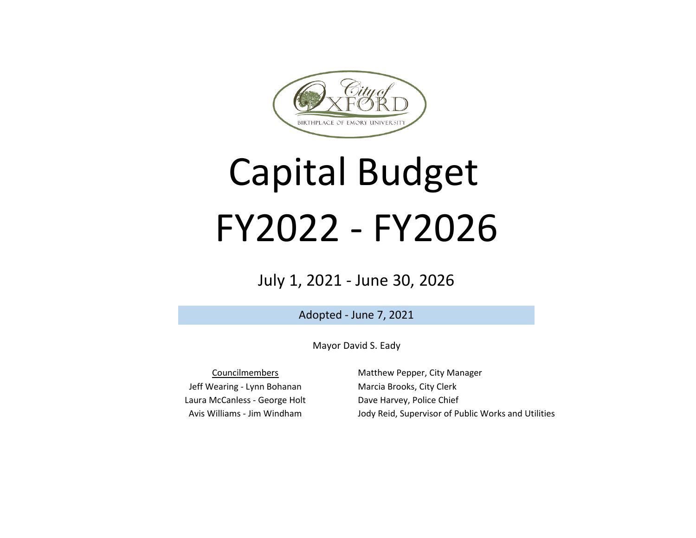

# Capital Budget FY2022 - FY2026

# July 1, 2021 - June 30, 2026

Adopted - June 7, 2021

Mayor David S. Eady

Laura McCanless - George Holt Avis Williams - Jim Windham Councilmembers Jeff Wearing - Lynn Bohanan

Matthew Pepper, City Manager Marcia Brooks, City Clerk Dave Harvey, Police Chief Jody Reid, Supervisor of Public Works and Utilities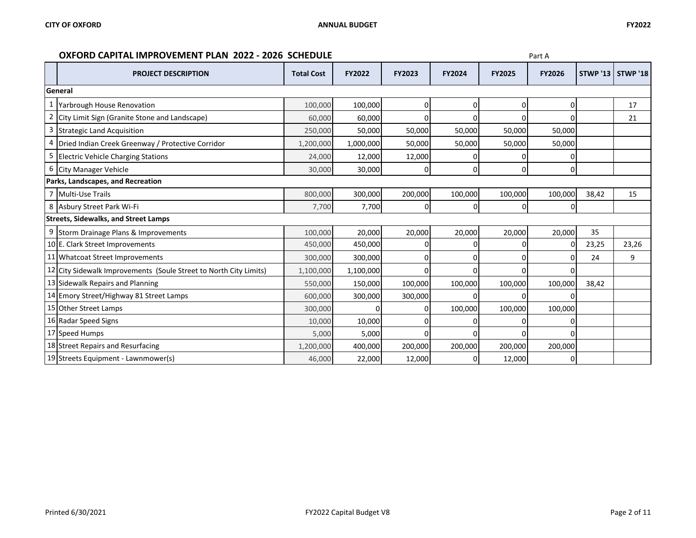## **OXFORD CAPITAL IMPROVEMENT PLAN 2022 - 2026 SCHEDULE Part A Part A**

|                | <b>PROJECT DESCRIPTION</b>                                        | <b>Total Cost</b> | <b>FY2022</b> | <b>FY2023</b> | <b>FY2024</b> | <b>FY2025</b> | <b>FY2026</b> |       | <b>STWP '13   STWP '18</b> |
|----------------|-------------------------------------------------------------------|-------------------|---------------|---------------|---------------|---------------|---------------|-------|----------------------------|
|                | General                                                           |                   |               |               |               |               |               |       |                            |
|                | Yarbrough House Renovation                                        | 100,000           | 100,000       | 0             | 0             | n             | ٥I            |       | 17                         |
| $\overline{a}$ | City Limit Sign (Granite Stone and Landscape)                     | 60,000            | 60,000        | 0             | U             | n             | ΩI            |       | 21                         |
| 3              | <b>Strategic Land Acquisition</b>                                 | 250,000           | 50,000        | 50,000        | 50,000        | 50,000        | 50,000        |       |                            |
| 4              | Dried Indian Creek Greenway / Protective Corridor                 | 1,200,000         | 1,000,000     | 50,000        | 50,000        | 50,000        | 50,000        |       |                            |
| 5              | <b>Electric Vehicle Charging Stations</b>                         | 24,000            | 12,000        | 12,000        |               |               |               |       |                            |
| 6              | <b>City Manager Vehicle</b>                                       | 30,000            | 30,000        | 0             | 0             | 0             | 0             |       |                            |
|                | Parks, Landscapes, and Recreation                                 |                   |               |               |               |               |               |       |                            |
|                | Multi-Use Trails                                                  | 800,000           | 300,000       | 200,000       | 100,000       | 100,000       | 100,000       | 38,42 | 15                         |
|                | 8 Asbury Street Park Wi-Fi                                        | 7,700             | 7,700         | 0             | 0             | 0             | 01            |       |                            |
|                | <b>Streets, Sidewalks, and Street Lamps</b>                       |                   |               |               |               |               |               |       |                            |
|                | 9 Storm Drainage Plans & Improvements                             | 100,000           | 20,000        | 20,000        | 20,000        | 20,000        | 20,000        | 35    |                            |
|                | 10 E. Clark Street Improvements                                   | 450,000           | 450,000       |               |               |               |               | 23,25 | 23,26                      |
|                | 11 Whatcoat Street Improvements                                   | 300,000           | 300,000       |               |               |               |               | 24    | 9                          |
|                | 12 City Sidewalk Improvements (Soule Street to North City Limits) | 1,100,000         | 1,100,000     | 0             |               |               |               |       |                            |
|                | 13 Sidewalk Repairs and Planning                                  | 550,000           | 150,000       | 100,000       | 100,000       | 100,000       | 100,000       | 38,42 |                            |
|                | 14 Emory Street/Highway 81 Street Lamps                           | 600,000           | 300,000       | 300,000       |               |               |               |       |                            |
|                | 15 Other Street Lamps                                             | 300,000           |               | n             | 100,000       | 100,000       | 100,000       |       |                            |
|                | 16 Radar Speed Signs                                              | 10,000            | 10,000        | ი             |               |               | 01            |       |                            |
|                | 17 Speed Humps                                                    | 5,000             | 5,000         | ŋ             | n             |               | N             |       |                            |
|                | 18 Street Repairs and Resurfacing                                 | 1,200,000         | 400,000       | 200,000       | 200,000       | 200,000       | 200,000       |       |                            |
|                | 19 Streets Equipment - Lawnmower(s)                               | 46,000            | 22,000        | 12,000        |               | 12,000        |               |       |                            |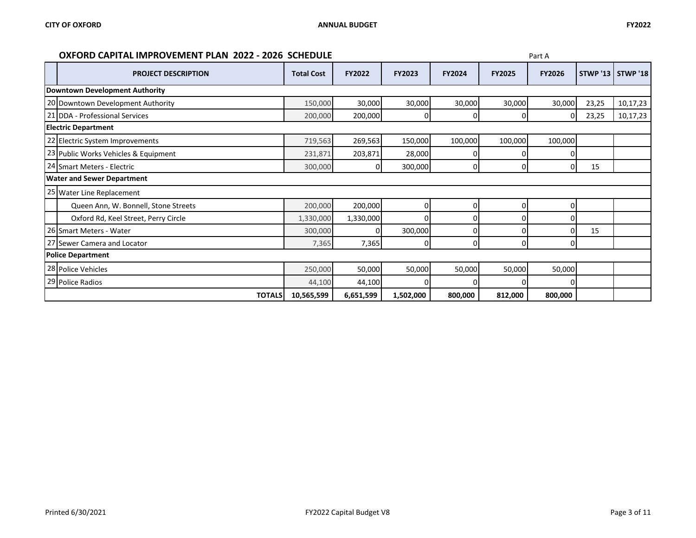### **OXFORD CAPITAL IMPROVEMENT PLAN 2022 - 2026 SCHEDULE Part A Part A**

| <b>PROJECT DESCRIPTION</b>            | <b>Total Cost</b> | <b>FY2022</b> | <b>FY2023</b> | FY2024  | <b>FY2025</b> | <b>FY2026</b> |       | <b>STWP '13   STWP '18</b> |
|---------------------------------------|-------------------|---------------|---------------|---------|---------------|---------------|-------|----------------------------|
| <b>Downtown Development Authority</b> |                   |               |               |         |               |               |       |                            |
| 20 Downtown Development Authority     | 150,000           | 30,000        | 30,000        | 30,000  | 30,000        | 30,000        | 23,25 | 10,17,23                   |
| 21 DDA - Professional Services        | 200,000           | 200,000       | 0             | 0       | 0             | 01            | 23,25 | 10,17,23                   |
| <b>Electric Department</b>            |                   |               |               |         |               |               |       |                            |
| 22 Electric System Improvements       | 719,563           | 269,563       | 150,000       | 100,000 | 100,000       | 100,000       |       |                            |
| 23 Public Works Vehicles & Equipment  | 231,871           | 203,871       | 28,000        |         |               |               |       |                            |
| 24 Smart Meters - Electric            | 300,000           | $\Omega$      | 300,000       | 0       | 0             | 0             | 15    |                            |
| <b>Water and Sewer Department</b>     |                   |               |               |         |               |               |       |                            |
| 25 Water Line Replacement             |                   |               |               |         |               |               |       |                            |
| Queen Ann, W. Bonnell, Stone Streets  | 200,000           | 200,000       | 0             | 0       |               |               |       |                            |
| Oxford Rd, Keel Street, Perry Circle  | 1,330,000         | 1,330,000     |               |         |               |               |       |                            |
| 26 Smart Meters - Water               | 300,000           |               | 300,000       |         |               |               | 15    |                            |
| 27 Sewer Camera and Locator           | 7,365             | 7,365         | 0             | O       |               |               |       |                            |
| <b>Police Department</b>              |                   |               |               |         |               |               |       |                            |
| 28 Police Vehicles                    | 250,000           | 50,000        | 50,000        | 50,000  | 50,000        | 50,000        |       |                            |
| 29 Police Radios                      | 44,100            | 44,100        |               |         |               |               |       |                            |
| <b>TOTALS</b>                         | 10,565,599        | 6,651,599     | 1,502,000     | 800,000 | 812,000       | 800,000       |       |                            |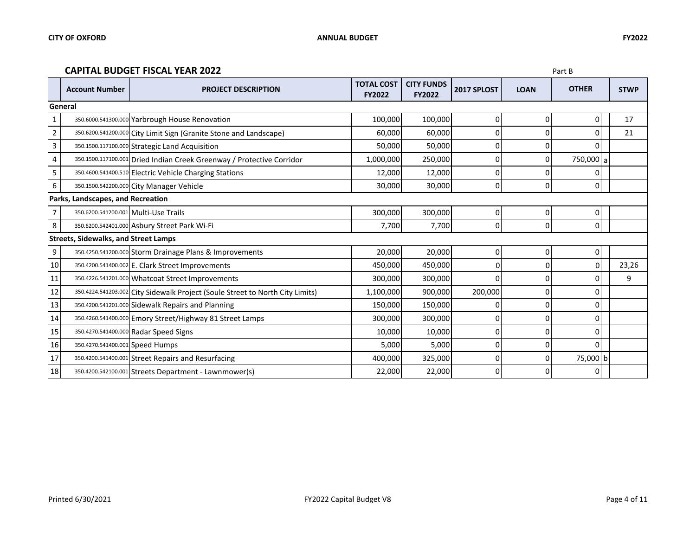#### **CAPITAL BUDGET FISCAL YEAR 2022** Part B

|                | <b>Account Number</b>                       | <b>PROJECT DESCRIPTION</b>                                                    | <b>TOTAL COST</b><br><b>FY2022</b> | <b>CITY FUNDS</b><br><b>FY2022</b> | 2017 SPLOST    | <b>LOAN</b>    | <b>OTHER</b> | <b>STWP</b> |  |  |
|----------------|---------------------------------------------|-------------------------------------------------------------------------------|------------------------------------|------------------------------------|----------------|----------------|--------------|-------------|--|--|
|                | General                                     |                                                                               |                                    |                                    |                |                |              |             |  |  |
| $\mathbf{1}$   |                                             | 350.6000.541300.000 Yarbrough House Renovation                                | 100,000                            | 100,000                            | $\mathbf 0$    | 0              | 0            | 17          |  |  |
| $\overline{2}$ |                                             | 350.6200.541200.000 City Limit Sign (Granite Stone and Landscape)             | 60,000                             | 60,000                             | 0              |                | n            | 21          |  |  |
| 3              |                                             | 350.1500.117100.000 Strategic Land Acquisition                                | 50,000                             | 50,000                             | 0              |                | U            |             |  |  |
| 4              |                                             | 350.1500.117100.001 Dried Indian Creek Greenway / Protective Corridor         | 1,000,000                          | 250,000                            | 0              | 0              | 750,000 a    |             |  |  |
| 5              |                                             | 350.4600.541400.510 Electric Vehicle Charging Stations                        | 12,000                             | 12,000                             | 0              |                | 0            |             |  |  |
| 6              |                                             | 350.1500.542200.000 City Manager Vehicle                                      | 30,000                             | 30,000                             | $\mathbf 0$    | 0              | 0            |             |  |  |
|                | Parks, Landscapes, and Recreation           |                                                                               |                                    |                                    |                |                |              |             |  |  |
|                |                                             | 350.6200.541200.001 Multi-Use Trails                                          | 300,000                            | 300,000                            | $\overline{0}$ | $\overline{0}$ | 0            |             |  |  |
| 8              |                                             | 350.6200.542401.000 Asbury Street Park Wi-Fi                                  | 7,700                              | 7,700                              | $\mathbf 0$    | 0              | 0            |             |  |  |
|                | <b>Streets, Sidewalks, and Street Lamps</b> |                                                                               |                                    |                                    |                |                |              |             |  |  |
| 9              |                                             | 350.4250.541200.000 Storm Drainage Plans & Improvements                       | 20,000                             | 20,000                             | $\mathbf 0$    |                | 0            |             |  |  |
| 10             |                                             | 350.4200.541400.002 E. Clark Street Improvements                              | 450,000                            | 450,000                            | $\Omega$       | 0              | 0            | 23,26       |  |  |
| 11             |                                             | 350.4226.541201.000 Whatcoat Street Improvements                              | 300,000                            | 300,000                            | 0              | 0              | 0            | 9           |  |  |
| 12             |                                             | 350.4224.541203.002 City Sidewalk Project (Soule Street to North City Limits) | 1,100,000                          | 900,000                            | 200,000        |                | ŋ            |             |  |  |
| 13             |                                             | 350.4200.541201.000 Sidewalk Repairs and Planning                             | 150,000                            | 150,000                            | 0              | 0              | 0            |             |  |  |
| 14             |                                             | 350.4260.541400.000 Emory Street/Highway 81 Street Lamps                      | 300,000                            | 300,000                            | $\overline{0}$ | $\Omega$       | 0            |             |  |  |
| 15             |                                             | 350.4270.541400.000 Radar Speed Signs                                         | 10,000                             | 10,000                             | 0              |                | 0            |             |  |  |
| 16             | 350.4270.541400.001 Speed Humps             |                                                                               | 5,000                              | 5,000                              | 0              |                | 0            |             |  |  |
| 17             |                                             | 350.4200.541400.001 Street Repairs and Resurfacing                            | 400,000                            | 325,000                            | 0              | 0              | 75,000 b     |             |  |  |
| 18             |                                             | 350.4200.542100.001 Streets Department - Lawnmower(s)                         | 22,000                             | 22,000                             | 0              |                | 0            |             |  |  |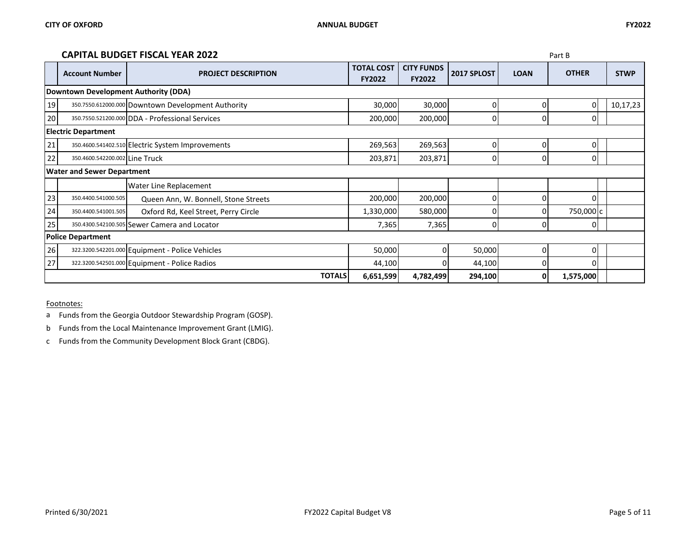#### **CAPITAL BUDGET FISCAL YEAR 2022** Part B

|    |                                                                       | <u>UNI IINE DUDUET I IJUNE I ENIX EUZZ</u>         |                                    |                                    |             |             | ιαιιυ        |             |
|----|-----------------------------------------------------------------------|----------------------------------------------------|------------------------------------|------------------------------------|-------------|-------------|--------------|-------------|
|    | <b>Account Number</b>                                                 | <b>PROJECT DESCRIPTION</b>                         | <b>TOTAL COST</b><br><b>FY2022</b> | <b>CITY FUNDS</b><br><b>FY2022</b> | 2017 SPLOST | <b>LOAN</b> | <b>OTHER</b> | <b>STWP</b> |
|    | Downtown Development Authority (DDA)                                  |                                                    |                                    |                                    |             |             |              |             |
| 19 |                                                                       | 350.7550.612000.000 Downtown Development Authority | 30,000                             | 30,000                             | 0           | 0           | 0            | 10,17,23    |
| 20 |                                                                       | 350.7550.521200.000 DDA - Professional Services    | 200,000                            | 200,000                            | 0           | οı          | Ω            |             |
|    | <b>Electric Department</b>                                            |                                                    |                                    |                                    |             |             |              |             |
| 21 |                                                                       | 350.4600.541402.510 Electric System Improvements   | 269,563                            | 269,563                            | 0           | $\Omega$    | 0            |             |
| 22 | 350.4600.542200.002 Line Truck                                        |                                                    | 203,871                            | 203,871                            | 0           | 0           | 0            |             |
|    | <b>Water and Sewer Department</b>                                     |                                                    |                                    |                                    |             |             |              |             |
|    |                                                                       | <b>Water Line Replacement</b>                      |                                    |                                    |             |             |              |             |
| 23 | 350.4400.541000.505                                                   | Queen Ann, W. Bonnell, Stone Streets               | 200,000                            | 200,000                            | 0           | $\Omega$    | 0            |             |
| 24 | 350.4400.541001.505                                                   | Oxford Rd, Keel Street, Perry Circle               | 1,330,000                          | 580,000                            |             |             | 750,000 c    |             |
| 25 |                                                                       | 350.4300.542100.505 Sewer Camera and Locator       | 7,365                              | 7,365                              | 0           | $\Omega$    |              |             |
|    | <b>Police Department</b>                                              |                                                    |                                    |                                    |             |             |              |             |
| 26 |                                                                       | 322.3200.542201.000 Equipment - Police Vehicles    | 50,000                             | ΩI                                 | 50,000      | $\Omega$    | O            |             |
| 27 |                                                                       | 322.3200.542501.000 Equipment - Police Radios      | 44,100                             |                                    | 44,100      | 0           | U            |             |
|    | <b>TOTALS</b><br>6,651,599<br>4,782,499<br>294,100<br>1,575,000<br>Οl |                                                    |                                    |                                    |             |             |              |             |

Footnotes:

a Funds from the Georgia Outdoor Stewardship Program (GOSP).

b Funds from the Local Maintenance Improvement Grant (LMIG).

c Funds from the Community Development Block Grant (CBDG).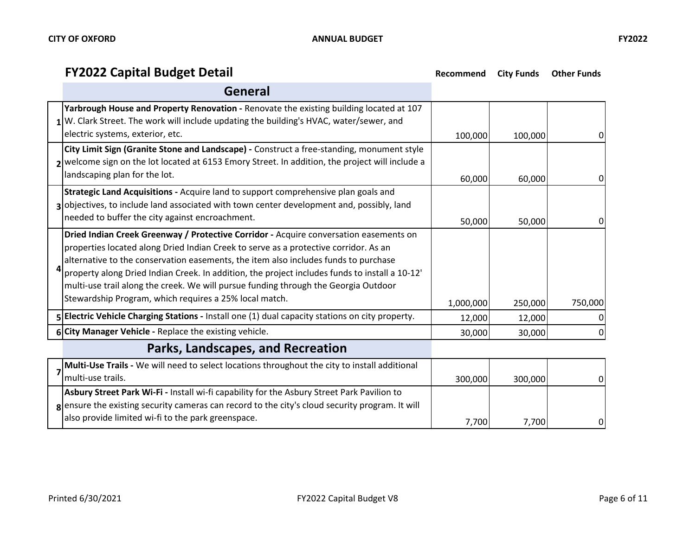# **FY2022 Capital Budget Detail Recommend City Funds Other Funds**

| General                                                                                                                                                                                                                                                                                                                                                                                                                                                                                                                 |           |         |         |
|-------------------------------------------------------------------------------------------------------------------------------------------------------------------------------------------------------------------------------------------------------------------------------------------------------------------------------------------------------------------------------------------------------------------------------------------------------------------------------------------------------------------------|-----------|---------|---------|
| Yarbrough House and Property Renovation - Renovate the existing building located at 107<br>1 W. Clark Street. The work will include updating the building's HVAC, water/sewer, and<br>electric systems, exterior, etc.                                                                                                                                                                                                                                                                                                  | 100,000   | 100,000 |         |
| City Limit Sign (Granite Stone and Landscape) - Construct a free-standing, monument style<br>2 welcome sign on the lot located at 6153 Emory Street. In addition, the project will include a<br>landscaping plan for the lot.                                                                                                                                                                                                                                                                                           | 60,000    | 60,000  | 0       |
| Strategic Land Acquisitions - Acquire land to support comprehensive plan goals and<br>3 objectives, to include land associated with town center development and, possibly, land<br>needed to buffer the city against encroachment.                                                                                                                                                                                                                                                                                      | 50,000    | 50,000  |         |
| Dried Indian Creek Greenway / Protective Corridor - Acquire conversation easements on<br>properties located along Dried Indian Creek to serve as a protective corridor. As an<br>alternative to the conservation easements, the item also includes funds to purchase<br>property along Dried Indian Creek. In addition, the project includes funds to install a 10-12'<br>multi-use trail along the creek. We will pursue funding through the Georgia Outdoor<br>Stewardship Program, which requires a 25% local match. | 1,000,000 | 250,000 | 750,000 |
| 5 Electric Vehicle Charging Stations - Install one (1) dual capacity stations on city property.                                                                                                                                                                                                                                                                                                                                                                                                                         | 12,000    | 12,000  |         |
| 6 City Manager Vehicle - Replace the existing vehicle.                                                                                                                                                                                                                                                                                                                                                                                                                                                                  |           |         |         |
|                                                                                                                                                                                                                                                                                                                                                                                                                                                                                                                         | 30,000    | 30,000  |         |

# **Parks, Landscapes, and Recreation**

| <b>Multi-Use Trails - We will need to select locations throughout the city to install additional</b>   |         |         |    |
|--------------------------------------------------------------------------------------------------------|---------|---------|----|
| Imulti-use trails.                                                                                     | 300,000 | 300,000 | ΟI |
| Asbury Street Park Wi-Fi - Install wi-fi capability for the Asbury Street Park Pavilion to             |         |         |    |
| <b>g</b> ensure the existing security cameras can record to the city's cloud security program. It will |         |         |    |
| also provide limited wi-fi to the park greenspace.                                                     | 7.700   | 7.700   | ΟI |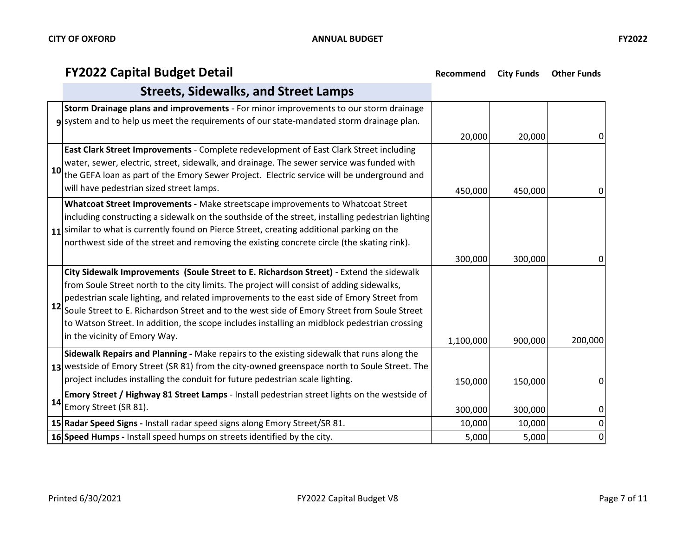# **FY2022 Capital Budget Detail Recommend City Funds Other Funds**

|    | <b>Streets, Sidewalks, and Street Lamps</b>                                                                                                                                                                                                                                                                                                                                                                                                                                                                       |                 |                 |                                  |
|----|-------------------------------------------------------------------------------------------------------------------------------------------------------------------------------------------------------------------------------------------------------------------------------------------------------------------------------------------------------------------------------------------------------------------------------------------------------------------------------------------------------------------|-----------------|-----------------|----------------------------------|
|    | Storm Drainage plans and improvements - For minor improvements to our storm drainage<br>system and to help us meet the requirements of our state-mandated storm drainage plan.                                                                                                                                                                                                                                                                                                                                    | 20,000          | 20,000          | 0                                |
| 10 | East Clark Street Improvements - Complete redevelopment of East Clark Street including<br>water, sewer, electric, street, sidewalk, and drainage. The sewer service was funded with<br>the GEFA loan as part of the Emory Sewer Project. Electric service will be underground and<br>will have pedestrian sized street lamps.                                                                                                                                                                                     | 450,000         | 450,000         | 0                                |
|    | Whatcoat Street Improvements - Make streetscape improvements to Whatcoat Street<br>including constructing a sidewalk on the southside of the street, installing pedestrian lighting<br>11 similar to what is currently found on Pierce Street, creating additional parking on the<br>northwest side of the street and removing the existing concrete circle (the skating rink).                                                                                                                                   | 300,000         | 300,000         | 0                                |
| 12 | City Sidewalk Improvements (Soule Street to E. Richardson Street) - Extend the sidewalk<br>from Soule Street north to the city limits. The project will consist of adding sidewalks,<br>pedestrian scale lighting, and related improvements to the east side of Emory Street from<br>Soule Street to E. Richardson Street and to the west side of Emory Street from Soule Street<br>to Watson Street. In addition, the scope includes installing an midblock pedestrian crossing<br>in the vicinity of Emory Way. | 1,100,000       | 900,000         | 200,000                          |
|    | Sidewalk Repairs and Planning - Make repairs to the existing sidewalk that runs along the<br>13 westside of Emory Street (SR 81) from the city-owned greenspace north to Soule Street. The<br>project includes installing the conduit for future pedestrian scale lighting.                                                                                                                                                                                                                                       | 150,000         | 150,000         | 01                               |
| 14 | Emory Street / Highway 81 Street Lamps - Install pedestrian street lights on the westside of<br>Emory Street (SR 81).                                                                                                                                                                                                                                                                                                                                                                                             | 300,000         | 300,000         | $\overline{0}$                   |
|    | 15 Radar Speed Signs - Install radar speed signs along Emory Street/SR 81.<br>16 Speed Humps - Install speed humps on streets identified by the city.                                                                                                                                                                                                                                                                                                                                                             | 10,000<br>5,000 | 10,000<br>5,000 | $\overline{0}$<br>$\overline{0}$ |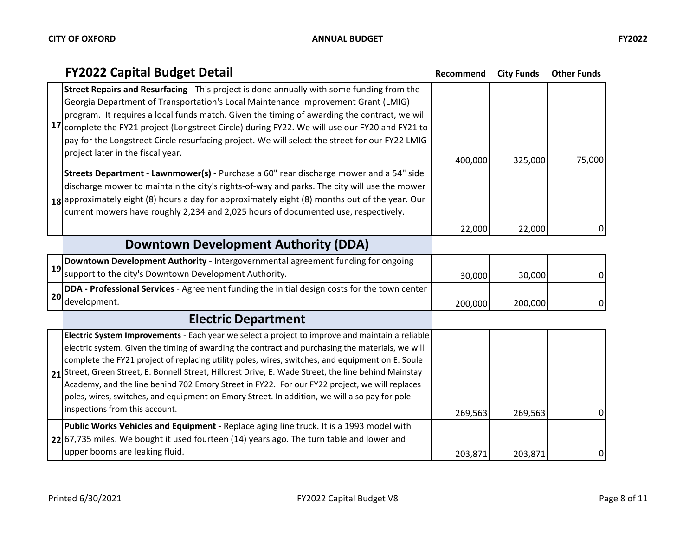| ×<br>ł |  |
|--------|--|
|--------|--|

|    | <b>FY2022 Capital Budget Detail</b>                                                                                                                                                                                                                                                                                                                                                                                                                                                                                                                                                                                                                  | Recommend | <b>City Funds</b> | <b>Other Funds</b> |
|----|------------------------------------------------------------------------------------------------------------------------------------------------------------------------------------------------------------------------------------------------------------------------------------------------------------------------------------------------------------------------------------------------------------------------------------------------------------------------------------------------------------------------------------------------------------------------------------------------------------------------------------------------------|-----------|-------------------|--------------------|
| 17 | Street Repairs and Resurfacing - This project is done annually with some funding from the<br>Georgia Department of Transportation's Local Maintenance Improvement Grant (LMIG)<br>program. It requires a local funds match. Given the timing of awarding the contract, we will<br>complete the FY21 project (Longstreet Circle) during FY22. We will use our FY20 and FY21 to                                                                                                                                                                                                                                                                        |           |                   |                    |
|    | pay for the Longstreet Circle resurfacing project. We will select the street for our FY22 LMIG<br>project later in the fiscal year.                                                                                                                                                                                                                                                                                                                                                                                                                                                                                                                  | 400,000   | 325,000           | 75,000             |
|    | Streets Department - Lawnmower(s) - Purchase a 60" rear discharge mower and a 54" side<br>discharge mower to maintain the city's rights-of-way and parks. The city will use the mower<br>18 approximately eight (8) hours a day for approximately eight (8) months out of the year. Our<br>current mowers have roughly 2,234 and 2,025 hours of documented use, respectively.                                                                                                                                                                                                                                                                        |           |                   |                    |
|    |                                                                                                                                                                                                                                                                                                                                                                                                                                                                                                                                                                                                                                                      | 22,000    | 22,000            | 0                  |
|    | Downtown Development Authority (DDA)                                                                                                                                                                                                                                                                                                                                                                                                                                                                                                                                                                                                                 |           |                   |                    |
| 19 | Downtown Development Authority - Intergovernmental agreement funding for ongoing                                                                                                                                                                                                                                                                                                                                                                                                                                                                                                                                                                     |           |                   |                    |
|    | support to the city's Downtown Development Authority.                                                                                                                                                                                                                                                                                                                                                                                                                                                                                                                                                                                                | 30,000    | 30,000            | 0                  |
| 20 | DDA - Professional Services - Agreement funding the initial design costs for the town center                                                                                                                                                                                                                                                                                                                                                                                                                                                                                                                                                         |           |                   |                    |
|    | development.                                                                                                                                                                                                                                                                                                                                                                                                                                                                                                                                                                                                                                         | 200,000   | 200,000           | 0                  |
|    | <b>Electric Department</b>                                                                                                                                                                                                                                                                                                                                                                                                                                                                                                                                                                                                                           |           |                   |                    |
|    | Electric System Improvements - Each year we select a project to improve and maintain a reliable<br>electric system. Given the timing of awarding the contract and purchasing the materials, we will<br>complete the FY21 project of replacing utility poles, wires, switches, and equipment on E. Soule<br>21 Street, Green Street, E. Bonnell Street, Hillcrest Drive, E. Wade Street, the line behind Mainstay<br>Academy, and the line behind 702 Emory Street in FY22. For our FY22 project, we will replaces<br>poles, wires, switches, and equipment on Emory Street. In addition, we will also pay for pole<br>inspections from this account. | 269,563   | 269,563           | 0                  |
|    | Public Works Vehicles and Equipment - Replace aging line truck. It is a 1993 model with<br>22 67,735 miles. We bought it used fourteen (14) years ago. The turn table and lower and<br>upper booms are leaking fluid.                                                                                                                                                                                                                                                                                                                                                                                                                                |           |                   |                    |
|    |                                                                                                                                                                                                                                                                                                                                                                                                                                                                                                                                                                                                                                                      | 203,871   | 203,871           | 0                  |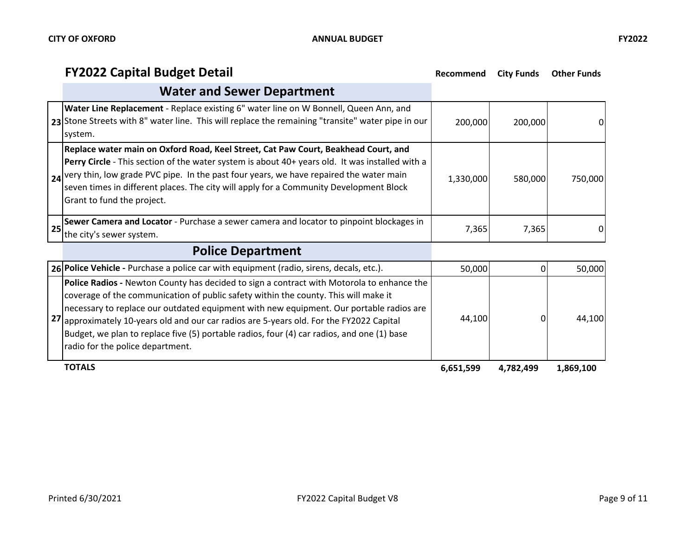# **FY2022 Capital Budget Detail Recommend City Funds Other Funds**

|    | <b>Water and Sewer Department</b>                                                                                                                                                                                                                                                                                                                                                                          |           |         |         |
|----|------------------------------------------------------------------------------------------------------------------------------------------------------------------------------------------------------------------------------------------------------------------------------------------------------------------------------------------------------------------------------------------------------------|-----------|---------|---------|
|    | Water Line Replacement - Replace existing 6" water line on W Bonnell, Queen Ann, and<br>23 Stone Streets with 8" water line. This will replace the remaining "transite" water pipe in our<br>system.                                                                                                                                                                                                       | 200,000   | 200,000 | 0       |
|    | Replace water main on Oxford Road, Keel Street, Cat Paw Court, Beakhead Court, and<br>Perry Circle - This section of the water system is about 40+ years old. It was installed with a<br>24 very thin, low grade PVC pipe. In the past four years, we have repaired the water main<br>seven times in different places. The city will apply for a Community Development Block<br>Grant to fund the project. | 1,330,000 | 580,000 | 750.000 |
| 25 | Sewer Camera and Locator - Purchase a sewer camera and locator to pinpoint blockages in<br>the city's sewer system.                                                                                                                                                                                                                                                                                        | 7,365     | 7,365   |         |
|    |                                                                                                                                                                                                                                                                                                                                                                                                            |           |         |         |

# **Police Department**

| 26 Police Vehicle - Purchase a police car with equipment (radio, sirens, decals, etc.).                                                                                                                                                                                                                                                                                                                                                                                                                          | 50,000    |           | 50,000    |
|------------------------------------------------------------------------------------------------------------------------------------------------------------------------------------------------------------------------------------------------------------------------------------------------------------------------------------------------------------------------------------------------------------------------------------------------------------------------------------------------------------------|-----------|-----------|-----------|
| <b>Police Radios - Newton County has decided to sign a contract with Motorola to enhance the</b><br>coverage of the communication of public safety within the county. This will make it<br>necessary to replace our outdated equipment with new equipment. Our portable radios are<br>27 approximately 10-years old and our car radios are 5-years old. For the FY2022 Capital<br>Budget, we plan to replace five (5) portable radios, four (4) car radios, and one (1) base<br>radio for the police department. | 44,100    |           | 44.100    |
| <b>TOTALS</b>                                                                                                                                                                                                                                                                                                                                                                                                                                                                                                    | 6,651,599 | 4,782,499 | 1,869,100 |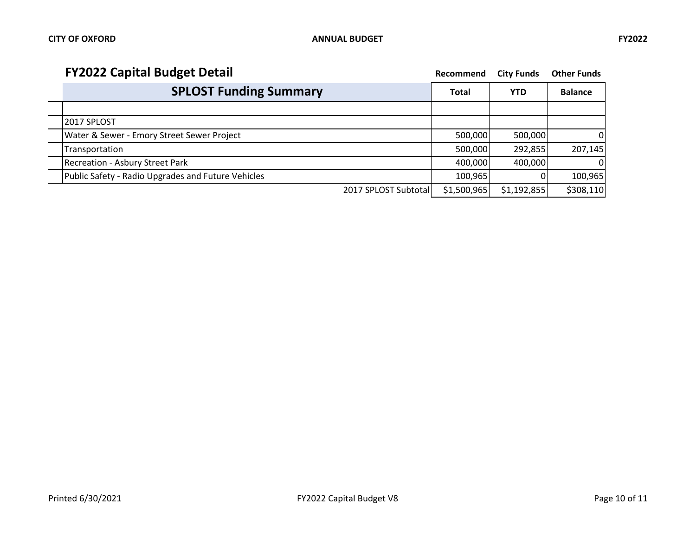| <b>FY2022 Capital Budget Detail</b>                | Recommend    | <b>City Funds</b> | <b>Other Funds</b> |
|----------------------------------------------------|--------------|-------------------|--------------------|
| <b>SPLOST Funding Summary</b>                      | <b>Total</b> | <b>YTD</b>        | <b>Balance</b>     |
|                                                    |              |                   |                    |
| 2017 SPLOST                                        |              |                   |                    |
| Water & Sewer - Emory Street Sewer Project         | 500,000      | 500,000           | 01                 |
| Transportation                                     | 500,000      | 292,855           | 207,145            |
| Recreation - Asbury Street Park                    | 400,000      | 400,000           | $\Omega$           |
| Public Safety - Radio Upgrades and Future Vehicles | 100,965      |                   | 100,965            |
| 2017 SPLOST Subtotal                               | \$1,500,965  | \$1,192,855       | \$308,110          |